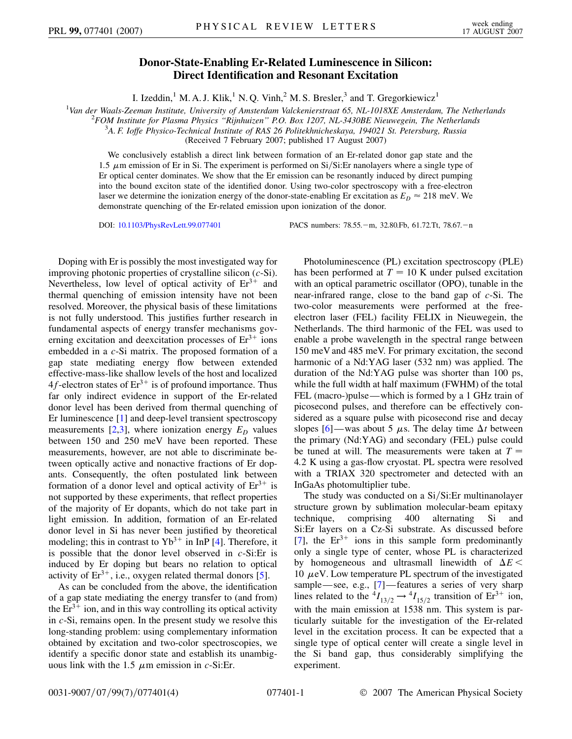## **Donor-State-Enabling Er-Related Luminescence in Silicon: Direct Identification and Resonant Excitation**

I. Izeddin,<sup>1</sup> M. A. J. Klik,<sup>1</sup> N. Q. Vinh,<sup>2</sup> M. S. Bresler,<sup>3</sup> and T. Gregorkiewicz<sup>1</sup>

<sup>1</sup>Van der Waals-Zeeman Institute, University of Amsterdam Valckenierstraat 65, NL-1018XE Amsterdam, The Netherlands<br><sup>2</sup>EOM Institute for Plasma Physics "Piinhuizan" P.O. Box 1207. NL 3430BE Niguyagain. The Natherlands

*FOM Institute for Plasma Physics ''Rijnhuizen'' P.O. Box 1207, NL-3430BE Nieuwegein, The Netherlands* <sup>3</sup>

*A. F. Ioffe Physico-Technical Institute of RAS 26 Politekhnicheskaya, 194021 St. Petersburg, Russia*

(Received 7 February 2007; published 17 August 2007)

We conclusively establish a direct link between formation of an Er-related donor gap state and the 1.5  $\mu$ m emission of Er in Si. The experiment is performed on Si/Si:Er nanolayers where a single type of Er optical center dominates. We show that the Er emission can be resonantly induced by direct pumping into the bound exciton state of the identified donor. Using two-color spectroscopy with a free-electron laser we determine the ionization energy of the donor-state-enabling Er excitation as  $E_D \approx 218$  meV. We demonstrate quenching of the Er-related emission upon ionization of the donor.

DOI: [10.1103/PhysRevLett.99.077401](http://dx.doi.org/10.1103/PhysRevLett.99.077401)

m, 32.80.Fb, 61.72.Tt, 78.67.-n

Doping with Er is possibly the most investigated way for improving photonic properties of crystalline silicon (*c*-Si). Nevertheless, low level of optical activity of  $Er^{3+}$  and thermal quenching of emission intensity have not been resolved. Moreover, the physical basis of these limitations is not fully understood. This justifies further research in fundamental aspects of energy transfer mechanisms governing excitation and deexcitation processes of  $Er^{3+}$  ions embedded in a *c*-Si matrix. The proposed formation of a gap state mediating energy flow between extended effective-mass-like shallow levels of the host and localized  $4f$ -electron states of  $Er^{3+}$  is of profound importance. Thus far only indirect evidence in support of the Er-related donor level has been derived from thermal quenching of Er luminescence [[1](#page-3-0)] and deep-level transient spectroscopy measurements  $[2,3]$  $[2,3]$  $[2,3]$  $[2,3]$ , where ionization energy  $E_D$  values between 150 and 250 meV have been reported. These measurements, however, are not able to discriminate between optically active and nonactive fractions of Er dopants. Consequently, the often postulated link between formation of a donor level and optical activity of  $Er^{3+}$  is not supported by these experiments, that reflect properties of the majority of Er dopants, which do not take part in light emission. In addition, formation of an Er-related donor level in Si has never been justified by theoretical modeling; this in contrast to  $Yb^{3+}$  in InP [\[4\]](#page-3-3). Therefore, it is possible that the donor level observed in *c*-Si:Er is induced by Er doping but bears no relation to optical activity of  $Er^{3+}$ , i.e., oxygen related thermal donors [[5](#page-3-4)].

As can be concluded from the above, the identification of a gap state mediating the energy transfer to (and from) the  $Er^{3+}$  ion, and in this way controlling its optical activity in *c*-Si, remains open. In the present study we resolve this long-standing problem: using complementary information obtained by excitation and two-color spectroscopies, we identify a specific donor state and establish its unambiguous link with the 1.5  $\mu$ m emission in *c*-Si:Er.

Photoluminescence (PL) excitation spectroscopy (PLE) has been performed at  $T = 10$  K under pulsed excitation with an optical parametric oscillator (OPO), tunable in the near-infrared range, close to the band gap of *c*-Si. The two-color measurements were performed at the freeelectron laser (FEL) facility FELIX in Nieuwegein, the Netherlands. The third harmonic of the FEL was used to enable a probe wavelength in the spectral range between 150 meV and 485 meV. For primary excitation, the second harmonic of a Nd:YAG laser (532 nm) was applied. The duration of the Nd:YAG pulse was shorter than 100 ps, while the full width at half maximum (FWHM) of the total FEL (macro-)pulse—which is formed by a 1 GHz train of picosecond pulses, and therefore can be effectively considered as a square pulse with picosecond rise and decay slopes  $[6]$  $[6]$ —was about 5  $\mu$ s. The delay time  $\Delta t$  between the primary (Nd:YAG) and secondary (FEL) pulse could be tuned at will. The measurements were taken at *T* 4*:*2 K using a gas-flow cryostat. PL spectra were resolved with a TRIAX 320 spectrometer and detected with an InGaAs photomultiplier tube.

The study was conducted on a Si/Si:Er multinanolayer structure grown by sublimation molecular-beam epitaxy technique, comprising 400 alternating Si and Si:Er layers on a Cz-Si substrate. As discussed before [\[7\]](#page-3-6), the  $Er^{3+}$  ions in this sample form predominantly only a single type of center, whose PL is characterized by homogeneous and ultrasmall linewidth of  $\Delta E$  < 10  $\mu$ eV. Low temperature PL spectrum of the investigated sample—see, e.g., [[7\]](#page-3-6)—features a series of very sharp lines related to the  ${}^4I_{13/2} \rightarrow {}^4I_{15/2}$  transition of Er<sup>3+</sup> ion, with the main emission at 1538 nm. This system is particularly suitable for the investigation of the Er-related level in the excitation process. It can be expected that a single type of optical center will create a single level in the Si band gap, thus considerably simplifying the experiment.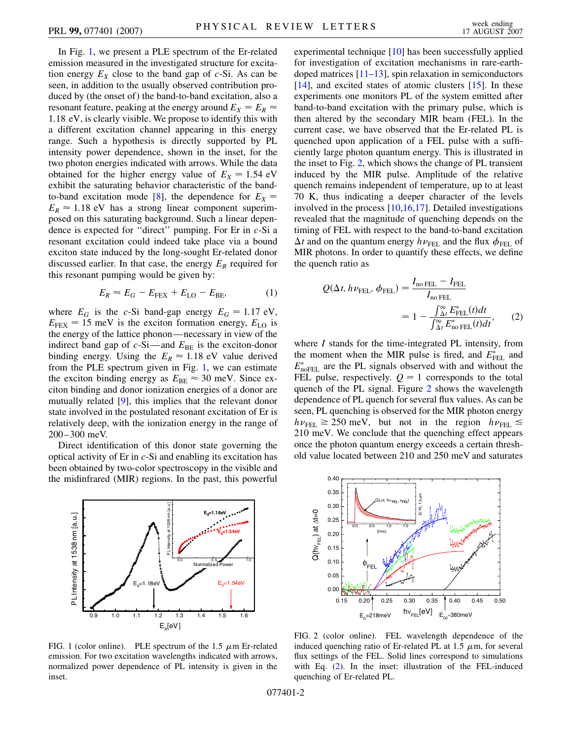In Fig. [1,](#page-1-0) we present a PLE spectrum of the Er-related emission measured in the investigated structure for excitation energy  $E_X$  close to the band gap of  $c$ -Si. As can be seen, in addition to the usually observed contribution produced by (the onset of) the band-to-band excitation, also a resonant feature, peaking at the energy around  $E_X = E_R \approx$ 1*:*18 eV, is clearly visible. We propose to identify this with a different excitation channel appearing in this energy range. Such a hypothesis is directly supported by PL intensity power dependence, shown in the inset, for the two photon energies indicated with arrows. While the data obtained for the higher energy value of  $E_X = 1.54$  eV exhibit the saturating behavior characteristic of the band-to-band excitation mode [\[8](#page-3-7)], the dependence for  $E_X =$  $E_R \approx 1.18$  eV has a strong linear component superimposed on this saturating background. Such a linear dependence is expected for ''direct'' pumping. For Er in *c*-Si a resonant excitation could indeed take place via a bound exciton state induced by the long-sought Er-related donor discussed earlier. In that case, the energy  $E_R$  required for this resonant pumping would be given by:

$$
E_R \approx E_G - E_{\text{FEX}} + E_{\text{LO}} - E_{\text{BE}},\tag{1}
$$

where  $E_G$  is the *c*-Si band-gap energy  $E_G = 1.17 \text{ eV}$ ,  $E_{\text{FEX}} = 15$  meV is the exciton formation energy,  $E_{\text{LO}}$  is the energy of the lattice phonon—necessary in view of the indirect band gap of  $c$ -Si—and  $E_{BE}$  is the exciton-donor binding energy. Using the  $E_R \approx 1.18 \text{ eV}$  value derived from the PLE spectrum given in Fig. [1](#page-1-0), we can estimate the exciton binding energy as  $E_{BE} \approx 30$  meV. Since exciton binding and donor ionization energies of a donor are mutually related [\[9\]](#page-3-8), this implies that the relevant donor state involved in the postulated resonant excitation of Er is relatively deep, with the ionization energy in the range of 200–300 meV.

Direct identification of this donor state governing the optical activity of Er in *c*-Si and enabling its excitation has been obtained by two-color spectroscopy in the visible and the midinfrared (MIR) regions. In the past, this powerful

<span id="page-1-0"></span>

FIG. 1 (color online). PLE spectrum of the 1.5  $\mu$ m Er-related emission. For two excitation wavelengths indicated with arrows, normalized power dependence of PL intensity is given in the inset.

experimental technique [\[10\]](#page-3-9) has been successfully applied for investigation of excitation mechanisms in rare-earthdoped matrices  $[11-13]$  $[11-13]$  $[11-13]$ , spin relaxation in semiconductors  $[14]$ , and excited states of atomic clusters  $[15]$ . In these experiments one monitors PL of the system emitted after band-to-band excitation with the primary pulse, which is then altered by the secondary MIR beam (FEL). In the current case, we have observed that the Er-related PL is quenched upon application of a FEL pulse with a sufficiently large photon quantum energy. This is illustrated in the inset to Fig. [2](#page-1-1), which shows the change of PL transient induced by the MIR pulse. Amplitude of the relative quench remains independent of temperature, up to at least 70 K, thus indicating a deeper character of the levels involved in the process [\[10](#page-3-9)[,16](#page-3-14)[,17\]](#page-3-15). Detailed investigations revealed that the magnitude of quenching depends on the timing of FEL with respect to the band-to-band excitation  $\Delta t$  and on the quantum energy  $h\nu_{\text{FEL}}$  and the flux  $\phi_{\text{FEL}}$  of MIR photons. In order to quantify these effects, we define the quench ratio as

<span id="page-1-2"></span>
$$
Q(\Delta t, h\nu_{\text{FEL}}, \phi_{\text{FEL}}) = \frac{I_{\text{no FEL}} - I_{\text{FEL}}}{I_{\text{no FEL}}} = 1 - \frac{\int_{\Delta t}^{\infty} E_{\text{FEL}}^{*}(t)dt}{\int_{\Delta t}^{\infty} E_{\text{no FEL}}^{*}(t)dt},
$$
(2)

where *I* stands for the time-integrated PL intensity, from the moment when the MIR pulse is fired, and  $E_{\text{FEL}}^*$  and  $E_{\text{noFEL}}^*$  are the PL signals observed with and without the FEL pulse, respectively.  $Q = 1$  corresponds to the total quench of the PL signal. Figure [2](#page-1-1) shows the wavelength dependence of PL quench for several flux values. As can be seen, PL quenching is observed for the MIR photon energy  $h\nu_{\text{FEL}} \ge 250 \text{ meV}$ , but not in the region  $h\nu_{\text{FEL}} \le$ 210 meV. We conclude that the quenching effect appears once the photon quantum energy exceeds a certain threshold value located between 210 and 250 meV and saturates

<span id="page-1-1"></span>

FIG. 2 (color online). FEL wavelength dependence of the induced quenching ratio of Er-related PL at 1.5  $\mu$ m, for several flux settings of the FEL. Solid lines correspond to simulations with Eq. [\(2\)](#page-1-2). In the inset: illustration of the FEL-induced quenching of Er-related PL.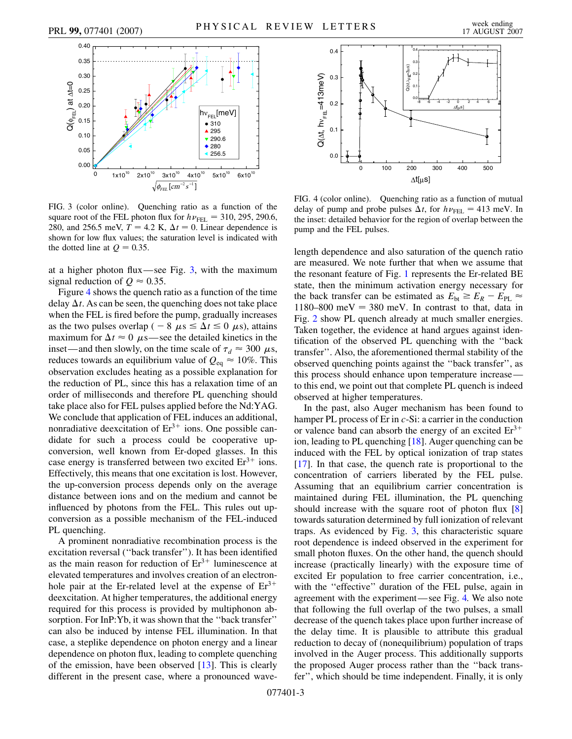<span id="page-2-0"></span>

FIG. 3 (color online). Quenching ratio as a function of the square root of the FEL photon flux for  $h\nu_{\text{FEL}} = 310, 295, 290.6$ , 280, and 256.5 meV,  $T = 4.2$  K,  $\Delta t = 0$ . Linear dependence is shown for low flux values; the saturation level is indicated with the dotted line at  $Q = 0.35$ .

at a higher photon flux—see Fig. [3](#page-2-0), with the maximum signal reduction of  $Q \approx 0.35$ .

Figure [4](#page-2-1) shows the quench ratio as a function of the time delay  $\Delta t$ . As can be seen, the quenching does not take place when the FEL is fired before the pump, gradually increases as the two pulses overlap (  $-8 \mu s \leq \Delta t \leq 0 \mu s$ ), attains maximum for  $\Delta t \approx 0$   $\mu$ s—see the detailed kinetics in the inset—and then slowly, on the time scale of  $\tau_d \approx 300 \mu s$ , reduces towards an equilibrium value of  $Q_{eq} \approx 10\%$ . This observation excludes heating as a possible explanation for the reduction of PL, since this has a relaxation time of an order of milliseconds and therefore PL quenching should take place also for FEL pulses applied before the Nd:YAG. We conclude that application of FEL induces an additional, nonradiative deexcitation of  $Er<sup>3+</sup>$  ions. One possible candidate for such a process could be cooperative upconversion, well known from Er-doped glasses. In this case energy is transferred between two excited  $Er^{3+}$  ions. Effectively, this means that one excitation is lost. However, the up-conversion process depends only on the average distance between ions and on the medium and cannot be influenced by photons from the FEL. This rules out upconversion as a possible mechanism of the FEL-induced PL quenching.

A prominent nonradiative recombination process is the excitation reversal (''back transfer''). It has been identified as the main reason for reduction of  $Er<sup>3+</sup>$  luminescence at elevated temperatures and involves creation of an electronhole pair at the Er-related level at the expense of  $Er^{3+}$ deexcitation. At higher temperatures, the additional energy required for this process is provided by multiphonon absorption. For InP:Yb, it was shown that the ''back transfer'' can also be induced by intense FEL illumination. In that case, a steplike dependence on photon energy and a linear dependence on photon flux, leading to complete quenching of the emission, have been observed [\[13\]](#page-3-11). This is clearly different in the present case, where a pronounced wave-

<span id="page-2-1"></span>

FIG. 4 (color online). Quenching ratio as a function of mutual delay of pump and probe pulses  $\Delta t$ , for  $h\nu_{\text{FEL}} = 413 \text{ meV}$ . In the inset: detailed behavior for the region of overlap between the pump and the FEL pulses.

length dependence and also saturation of the quench ratio are measured. We note further that when we assume that the resonant feature of Fig. [1](#page-1-0) represents the Er-related BE state, then the minimum activation energy necessary for the back transfer can be estimated as  $E_{\text{bt}} \ge E_R - E_{\text{PL}} \approx$ 1180–800 meV = 380 meV. In contrast to that, data in Fig. [2](#page-1-1) show PL quench already at much smaller energies. Taken together, the evidence at hand argues against identification of the observed PL quenching with the ''back transfer''. Also, the aforementioned thermal stability of the observed quenching points against the ''back transfer'', as this process should enhance upon temperature increase to this end, we point out that complete PL quench is indeed observed at higher temperatures.

In the past, also Auger mechanism has been found to hamper PL process of Er in *c*-Si: a carrier in the conduction or valence band can absorb the energy of an excited  $Er^{3+}$ ion, leading to PL quenching [\[18\]](#page-3-16). Auger quenching can be induced with the FEL by optical ionization of trap states [\[17\]](#page-3-15). In that case, the quench rate is proportional to the concentration of carriers liberated by the FEL pulse. Assuming that an equilibrium carrier concentration is maintained during FEL illumination, the PL quenching should increase with the square root of photon flux [\[8\]](#page-3-7) towards saturation determined by full ionization of relevant traps. As evidenced by Fig. [3,](#page-2-0) this characteristic square root dependence is indeed observed in the experiment for small photon fluxes. On the other hand, the quench should increase (practically linearly) with the exposure time of excited Er population to free carrier concentration, i.e., with the "effective" duration of the FEL pulse, again in agreement with the experiment—see Fig. [4.](#page-2-1) We also note that following the full overlap of the two pulses, a small decrease of the quench takes place upon further increase of the delay time. It is plausible to attribute this gradual reduction to decay of (nonequilibrium) population of traps involved in the Auger process. This additionally supports the proposed Auger process rather than the ''back transfer'', which should be time independent. Finally, it is only